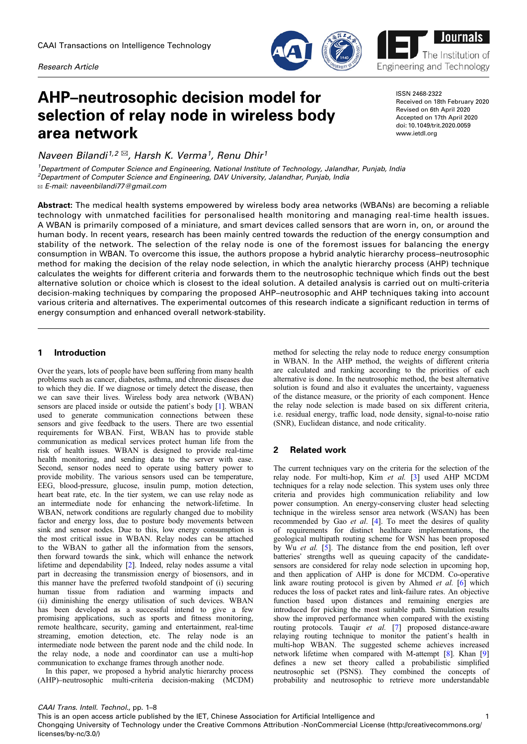Research Article

# AHP–neutrosophic decision model for selection of relay node in wireless body area network

Naveen Bilandi<sup>1,2</sup>  $\boxtimes$ , Harsh K. Verma<sup>1</sup>, Renu Dhir<sup>1</sup>

<sup>1</sup>Department of Computer Science and Engineering, National Institute of Technology, Jalandhar, Punjab, India <sup>2</sup>Department of Computer Science and Engineering, DAV University, Jalandhar, Punjab, India ✉ E-mail: naveenbilandi77@gmail.com

Abstract: The medical health systems empowered by wireless body area networks (WBANs) are becoming a reliable technology with unmatched facilities for personalised health monitoring and managing real-time health issues. A WBAN is primarily composed of a miniature, and smart devices called sensors that are worn in, on, or around the human body. In recent years, research has been mainly centred towards the reduction of the energy consumption and stability of the network. The selection of the relay node is one of the foremost issues for balancing the energy consumption in WBAN. To overcome this issue, the authors propose a hybrid analytic hierarchy process–neutrosophic method for making the decision of the relay node selection, in which the analytic hierarchy process (AHP) technique calculates the weights for different criteria and forwards them to the neutrosophic technique which finds out the best alternative solution or choice which is closest to the ideal solution. A detailed analysis is carried out on multi-criteria decision-making techniques by comparing the proposed AHP–neutrosophic and AHP techniques taking into account various criteria and alternatives. The experimental outcomes of this research indicate a significant reduction in terms of energy consumption and enhanced overall network-stability.

## 1 Introduction

Over the years, lots of people have been suffering from many health problems such as cancer, diabetes, asthma, and chronic diseases due to which they die. If we diagnose or timely detect the disease, then we can save their lives. Wireless body area network (WBAN) sensors are placed inside or outside the patient's body [\[1\]](#page-6-0). WBAN used to generate communication connections between these sensors and give feedback to the users. There are two essential requirements for WBAN. First, WBAN has to provide stable communication as medical services protect human life from the risk of health issues. WBAN is designed to provide real-time health monitoring, and sending data to the server with ease. Second, sensor nodes need to operate using battery power to provide mobility. The various sensors used can be temperature, EEG, blood-pressure, glucose, insulin pump, motion detection, heart beat rate, etc. In the tier system, we can use relay node as an intermediate node for enhancing the network-lifetime. In WBAN, network conditions are regularly changed due to mobility factor and energy loss, due to posture body movements between sink and sensor nodes. Due to this, low energy consumption is the most critical issue in WBAN. Relay nodes can be attached to the WBAN to gather all the information from the sensors, then forward towards the sink, which will enhance the network lifetime and dependability [[2](#page-6-0)]. Indeed, relay nodes assume a vital part in decreasing the transmission energy of biosensors, and in this manner have the preferred twofold standpoint of (i) securing human tissue from radiation and warming impacts and (ii) diminishing the energy utilisation of such devices. WBAN has been developed as a successful intend to give a few promising applications, such as sports and fitness monitoring, remote healthcare, security, gaming and entertainment, real-time streaming, emotion detection, etc. The relay node is an intermediate node between the parent node and the child node. In the relay node, a node and coordinator can use a multi-hop communication to exchange frames through another node.

In this paper, we proposed a hybrid analytic hierarchy process (AHP)–neutrosophic multi-criteria decision-making (MCDM)

method for selecting the relay node to reduce energy consumption in WBAN. In the AHP method, the weights of different criteria are calculated and ranking according to the priorities of each alternative is done. In the neutrosophic method, the best alternative solution is found and also it evaluates the uncertainty, vagueness of the distance measure, or the priority of each component. Hence the relay node selection is made based on six different criteria, i.e. residual energy, traffic load, node density, signal-to-noise ratio (SNR), Euclidean distance, and node criticality.

# 2 Related work

The current techniques vary on the criteria for the selection of the relay node. For multi-hop, Kim et al. [[3](#page-6-0)] used AHP MCDM techniques for a relay node selection. This system uses only three criteria and provides high communication reliability and low power consumption. An energy-conserving cluster head selecting technique in the wireless sensor area network (WSAN) has been recommended by Gao et al. [[4](#page-6-0)]. To meet the desires of quality of requirements for distinct healthcare implementations, the geological multipath routing scheme for WSN has been proposed by Wu et al. [[5](#page-6-0)]. The distance from the end position, left over batteries' strengths well as queuing capacity of the candidatesensors are considered for relay node selection in upcoming hop, and then application of AHP is done for MCDM. Co-operative link aware routing protocol is given by Ahmed et al. [\[6\]](#page-7-0) which reduces the loss of packet rates and link-failure rates. An objective function based upon distances and remaining energies are introduced for picking the most suitable path. Simulation results show the improved performance when compared with the existing routing protocols. Tauqir et al. [\[7\]](#page-7-0) proposed distance-aware relaying routing technique to monitor the patient's health in multi-hop WBAN. The suggested scheme achieves increased network lifetime when compared with M-attempt [\[8\]](#page-7-0). Khan [\[9\]](#page-7-0) defines a new set theory called a probabilistic simplified neutrosophic set (PSNS). They combined the concepts of probability and neutrosophic to retrieve more understandable

This is an open access article published by the IET, Chinese Association for Artificial Intelligence and 1 Chongqing University of Technology under the Creative Commons Attribution -NonCommercial License (http://creativecommons.org/ licenses/by-nc/3.0/)



www.ietdl.org

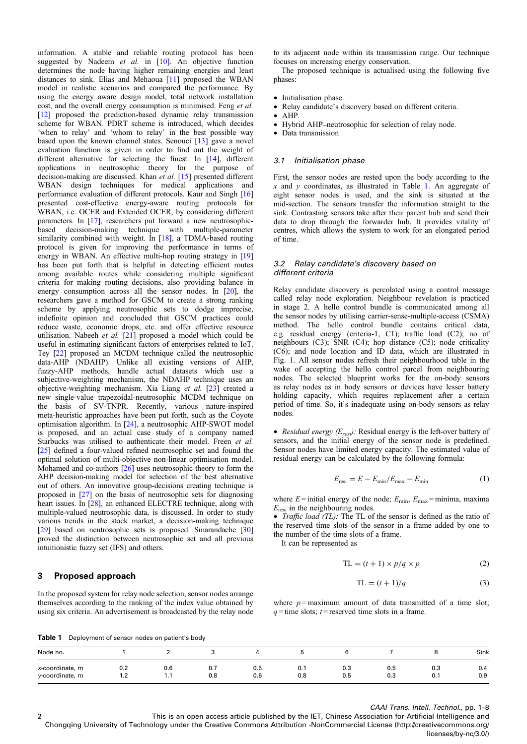information. A stable and reliable routing protocol has been suggested by Nadeem et al. in [[10\]](#page-7-0). An objective function determines the node having higher remaining energies and least distances to sink. Elias and Mehaoua [[11\]](#page-7-0) proposed the WBAN model in realistic scenarios and compared the performance. By using the energy aware design model, total network installation cost, and the overall energy consumption is minimised. Feng et al. [\[12](#page-7-0)] proposed the prediction-based dynamic relay transmission scheme for WBAN. PDRT scheme is introduced, which decides 'when to relay' and 'whom to relay' in the best possible way based upon the known channel states. Senouci [\[13](#page-7-0)] gave a novel evaluation function is given in order to find out the weight of different alternative for selecting the finest. In [[14\]](#page-7-0), different applications in neutrosophic theory for the purpose of decision-making are discussed. Khan et al. [\[15](#page-7-0)] presented different WBAN design techniques for medical applications and performance evaluation of different protocols. Kaur and Singh [\[16](#page-7-0)] presented cost-effective energy-aware routing protocols for WBAN, i.e. OCER and Extended OCER, by considering different parameters. In [[17\]](#page-7-0), researchers put forward a new neutrosophicbased decision-making technique with multiple-parameter similarity combined with weight. In [\[18](#page-7-0)], a TDMA-based routing protocol is given for improving the performance in terms of energy in WBAN. An effective multi-hop routing strategy in [\[19](#page-7-0)] has been put forth that is helpful in detecting efficient routes among available routes while considering multiple significant criteria for making routing decisions, also providing balance in energy consumption across all the sensor nodes. In [[20\]](#page-7-0), the researchers gave a method for GSCM to create a strong ranking scheme by applying neutrosophic sets to dodge imprecise, indefinite opinion and concluded that GSCM practices could reduce waste, economic drops, etc. and offer effective resource utilisation. Nabeeh et al. [[21\]](#page-7-0) proposed a model which could be useful in estimating significant factors of enterprises related to IoT. Tey [\[22](#page-7-0)] proposed an MCDM technique called the neutrosophic data-AHP (NDAHP). Unlike all existing versions of AHP, fuzzy-AHP methods, handle actual datasets which use a subjective-weighting mechanism, the NDAHP technique uses an objective-weighting mechanism. Xia Liang et al. [[23\]](#page-7-0) created a new single-value trapezoidal-neutrosophic MCDM technique on the basis of SV-TNPR. Recently, various nature-inspired meta-heuristic approaches have been put forth, such as the Coyote optimisation algorithm. In [[24\]](#page-7-0), a neutrosophic AHP-SWOT model is proposed, and an actual case study of a company named Starbucks was utilised to authenticate their model. Freen et al. [\[25](#page-7-0)] defined a four-valued refined neutrosophic set and found the optimal solution of multi-objective non-linear optimisation model. Mohamed and co-authors [[26\]](#page-7-0) uses neutrosophic theory to form the AHP decision-making model for selection of the best alternative out of others. An innovative group-decisions creating technique is proposed in [\[27](#page-7-0)] on the basis of neutrosophic sets for diagnosing heart issues. In [\[28](#page-7-0)], an enhanced ELECTRE technique, along with multiple-valued neutrosophic data, is discussed. In order to study various trends in the stock market, a decision-making technique [\[29](#page-7-0)] based on neutrosophic sets is proposed. Smarandache [\[30](#page-7-0)] proved the distinction between neutrosophic set and all previous intuitionistic fuzzy set (IFS) and others.

# 3 Proposed approach

In the proposed system for relay node selection, sensor nodes arrange themselves according to the ranking of the index value obtained by using six criteria. An advertisement is broadcasted by the relay node to its adjacent node within its transmission range. Our technique focuses on increasing energy conservation.

The proposed technique is actualised using the following five phases:

- Initialisation phase.
- † Relay candidate's discovery based on different criteria.
- $\bullet$  AHP.
- † Hybrid AHP–neutrosophic for selection of relay node.
- Data transmission

#### 3.1 Initialisation phase

First, the sensor nodes are rested upon the body according to the  $x$  and  $y$  coordinates, as illustrated in Table 1. An aggregate of eight sensor nodes is used, and the sink is situated at the mid-section. The sensors transfer the information straight to the sink. Contrasting sensors take after their parent hub and send their data to drop through the forwarder hub. It provides vitality of centres, which allows the system to work for an elongated period of time.

#### 3.2 Relay candidate's discovery based on different criteria

Relay candidate discovery is percolated using a control message called relay node exploration. Neighbour revelation is practiced in stage 2. A hello control bundle is communicated among all the sensor nodes by utilising carrier-sense-multiple-access (CSMA) method. The hello control bundle contains critical data, e.g. residual energy (criteria-1, C1); traffic load (C2); no of neighbours (C3); SNR (C4); hop distance (C5); node criticality (C6); and node location and ID data, which are illustrated in Fig. [1](#page-2-0). All sensor nodes refresh their neighbourhood table in the wake of accepting the hello control parcel from neighbouring nodes. The selected blueprint works for the on-body sensors as relay nodes as in body sensors or devices have lesser battery holding capacity, which requires replacement after a certain period of time. So, it's inadequate using on-body sensors as relay nodes.

• Residual energy  $(E_{res})$ : Residual energy is the left-over battery of sensors, and the initial energy of the sensor node is predefined. Sensor nodes have limited energy capacity. The estimated value of residual energy can be calculated by the following formula:

$$
E_{\text{resi}} = E - E_{\text{min}} / E_{\text{max}} - E_{\text{min}} \tag{1}
$$

where  $E =$  initial energy of the node;  $E_{\text{min}}$ ,  $E_{\text{max}} =$  minima, maxima  $E_{\text{resi}}$  in the neighbouring nodes.

• Traffic load (TL): The TL of the sensor is defined as the ratio of the reserved time slots of the sensor in a frame added by one to the number of the time slots of a frame.

It can be represented as

$$
TL = (t + 1) \times p/q \times p \tag{2}
$$

$$
TL = (t + 1)/q
$$
 (3)

where  $p =$  maximum amount of data transmitted of a time slot;  $q =$  time slots;  $t =$  reserved time slots in a frame.

Table 1 Deployment of sensor nodes on patient's body

|                 |                          |     |     |     |     |     |     |     | Sink |
|-----------------|--------------------------|-----|-----|-----|-----|-----|-----|-----|------|
| Node no.        |                          |     |     |     |     |     |     |     |      |
| x-coordinate, m | 0.2                      | 0.6 | υ., | 0.5 | 0.1 | 0.3 | 0.5 | 0.3 | 0.4  |
| y-coordinate, m | $\overline{\phantom{a}}$ | . . | 0.8 | 0.6 | 0.8 | 0.5 | 0.3 | 0.1 | 0.9  |

CAAI Trans. Intell. Technol., pp. 1–8

2 This is an open access article published by the IET, Chinese Association for Artificial Intelligence and Chongqing University of Technology under the Creative Commons Attribution -NonCommercial License (http://creativecommons.org/ licenses/by-nc/3.0/)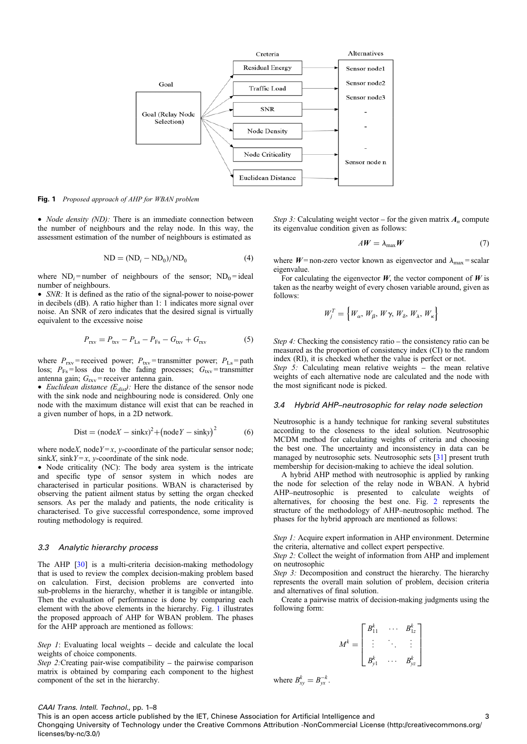<span id="page-2-0"></span>

#### Fig. 1 Proposed approach of AHP for WBAN problem

 $\bullet$  *Node density (ND):* There is an immediate connection between the number of neighbours and the relay node. In this way, the assessment estimation of the number of neighbours is estimated as

$$
ND = (NDi - ND0)/ND0
$$
 (4)

where  $ND_i$  = number of neighbours of the sensor;  $ND_0$  = ideal number of neighbours.

• SNR: It is defined as the ratio of the signal-power to noise-power in decibels (dB). A ratio higher than 1: 1 indicates more signal over noise. An SNR of zero indicates that the desired signal is virtually equivalent to the excessive noise

$$
P_{\text{rxv}} = P_{\text{txv}} - P_{\text{Ls}} - P_{\text{Fs}} - G_{\text{txv}} + G_{\text{rxv}} \tag{5}
$$

where  $P_{\text{rxv}}$  = received power;  $P_{\text{txv}}$  = transmitter power;  $P_{\text{Ls}}$  = path loss;  $P_{\text{Fs}} =$ loss due to the fading processes;  $G_{\text{txv}} =$ transmitter antenna gain;  $G_{\text{rxv}}$  = receiver antenna gain.

• Euclidean distance  $(E_{dist})$ : Here the distance of the sensor node with the sink node and neighbouring node is considered. Only one node with the maximum distance will exist that can be reached in a given number of hops, in a 2D network.

$$
Dist = (nodeX - sinkx)^{2} + (nodeY - sinky)^{2}
$$
 (6)

where nodeX, node  $Y=x$ , y-coordinate of the particular sensor node;  $sinkX$ ,  $sinkY=x$ , y-coordinate of the sink node.

† Node criticality (NC): The body area system is the intricate and specific type of sensor system in which nodes are characterised in particular positions. WBAN is characterised by observing the patient ailment status by setting the organ checked sensors. As per the malady and patients, the node criticality is characterised. To give successful correspondence, some improved routing methodology is required.

### 3.3 Analytic hierarchy process

The AHP [[30\]](#page-7-0) is a multi-criteria decision-making methodology that is used to review the complex decision-making problem based on calculation. First, decision problems are converted into sub-problems in the hierarchy, whether it is tangible or intangible. Then the evaluation of performance is done by comparing each element with the above elements in the hierarchy. Fig. 1 illustrates the proposed approach of AHP for WBAN problem. The phases for the AHP approach are mentioned as follows:

Step 1: Evaluating local weights – decide and calculate the local weights of choice components.

Step 2:Creating pair-wise compatibility – the pairwise comparison matrix is obtained by comparing each component to the highest component of the set in the hierarchy.

Step 3: Calculating weight vector – for the given matrix  $A_n$  compute its eigenvalue condition given as follows:

$$
AW = \lambda_{\text{max}} W \tag{7}
$$

where  $W$  = non-zero vector known as eigenvector and  $\lambda_{\text{max}}$  = scalar eigenvalue.

For calculating the eigenvector  $W$ , the vector component of  $W$  is taken as the nearby weight of every chosen variable around, given as follows:

$$
W_j^T = \left\{ W_\alpha, W_\beta, W\gamma, W_\delta, W_\lambda, W_\kappa \right\}
$$

Step 4: Checking the consistency ratio – the consistency ratio can be measured as the proportion of consistency index (CI) to the random index (RI), it is checked whether the value is perfect or not.

Step  $\overline{5}$ : Calculating mean relative weights – the mean relative weights of each alternative node are calculated and the node with the most significant node is picked.

## 3.4 Hybrid AHP–neutrosophic for relay node selection

Neutrosophic is a handy technique for ranking several substitutes according to the closeness to the ideal solution. Neutrosophic MCDM method for calculating weights of criteria and choosing the best one. The uncertainty and inconsistency in data can be managed by neutrosophic sets. Neutrosophic sets [[31\]](#page-7-0) present truth membership for decision-making to achieve the ideal solution.

A hybrid AHP method with neutrosophic is applied by ranking the node for selection of the relay node in WBAN. A hybrid AHP–neutrosophic is presented to calculate weights of alternatives, for choosing the best one. Fig. [2](#page-3-0) represents the structure of the methodology of AHP–neutrosophic method. The phases for the hybrid approach are mentioned as follows:

Step 1: Acquire expert information in AHP environment. Determine the criteria, alternative and collect expert perspective.

Step 2: Collect the weight of information from AHP and implement on neutrosophic

Step 3: Decomposition and construct the hierarchy. The hierarchy represents the overall main solution of problem, decision criteria and alternatives of final solution.

Create a pairwise matrix of decision-making judgments using the following form:

$$
M^k = \begin{bmatrix} B_{11}^k & \cdots & B_{1z}^k \\ \vdots & \ddots & \vdots \\ B_{y1}^k & \cdots & B_{yz}^k \end{bmatrix}
$$

where  $B_{xy}^k = B_{yx}^{-k}$ .

CAAI Trans. Intell. Technol., pp. 1–8

This is an open access article published by the IET, Chinese Association for Artificial Intelligence and 3 Chongqing University of Technology under the Creative Commons Attribution -NonCommercial License (http://creativecommons.org/ licenses/by-nc/3.0/)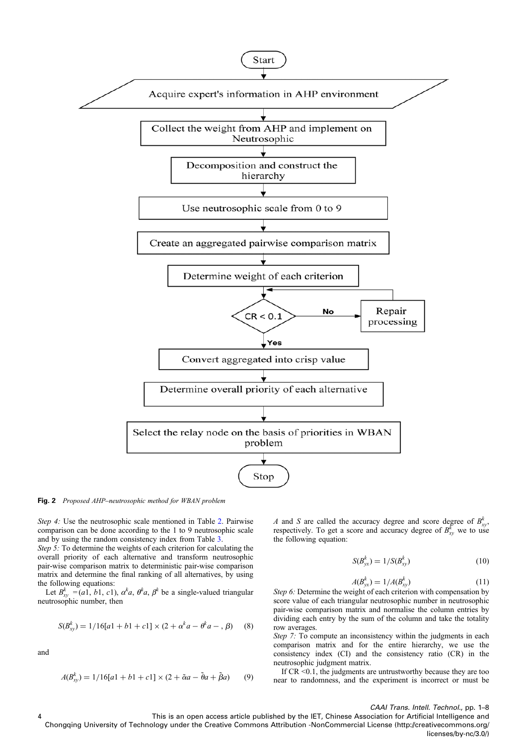<span id="page-3-0"></span>

Fig. 2 Proposed AHP–neutrosophic method for WBAN problem

Step 4: Use the neutrosophic scale mentioned in Table [2.](#page-4-0) Pairwise comparison can be done according to the 1 to 9 neutrosophic scale and by using the random consistency index from Table [3](#page-4-0).

Step 5: To determine the weights of each criterion for calculating the overall priority of each alternative and transform neutrosophic pair-wise comparison matrix to deterministic pair-wise comparison matrix and determine the final ranking of all alternatives, by using the following equations:

Let  $B_{xy}^{k} = (a1, b1, c1), \alpha^{k}a, \theta^{k}a, \beta^{k}$  be a single-valued triangular neutrosophic number, then

$$
S(B_{xy}^k) = 1/16[a1 + b1 + c1] \times (2 + \alpha^k a - \theta^k a - \beta)
$$
 (8)

and

$$
A(B_{xy}^k) = 1/16[a1 + b1 + c1] \times (2 + \tilde{\alpha}a - \tilde{\theta}a + \tilde{\beta}a)
$$
 (9)

A and S are called the accuracy degree and score degree of  $B_{xy}^k$ , respectively. To get a score and accuracy degree of  $B_{xy}^k$  we to use the following equation:

$$
S(B_{yx}^k) = 1/S(B_{xy}^k)
$$
\n<sup>(10)</sup>

$$
A(B_{yx}^k) = 1/A(B_{xy}^k)
$$
 (11)

Step 6: Determine the weight of each criterion with compensation by score value of each triangular neutrosophic number in neutrosophic pair-wise comparison matrix and normalise the column entries by dividing each entry by the sum of the column and take the totality row averages.

Step 7: To compute an inconsistency within the judgments in each comparison matrix and for the entire hierarchy, we use the consistency index (CI) and the consistency ratio (CR) in the neutrosophic judgment matrix.

If CR <0.1, the judgments are untrustworthy because they are too near to randomness, and the experiment is incorrect or must be

#### CAAI Trans. Intell. Technol., pp. 1–8

This is an open access article published by the IET, Chinese Association for Artificial Intelligence and Chongqing University of Technology under the Creative Commons Attribution -NonCommercial License (http://creativecommons.org/ licenses/by-nc/3.0/)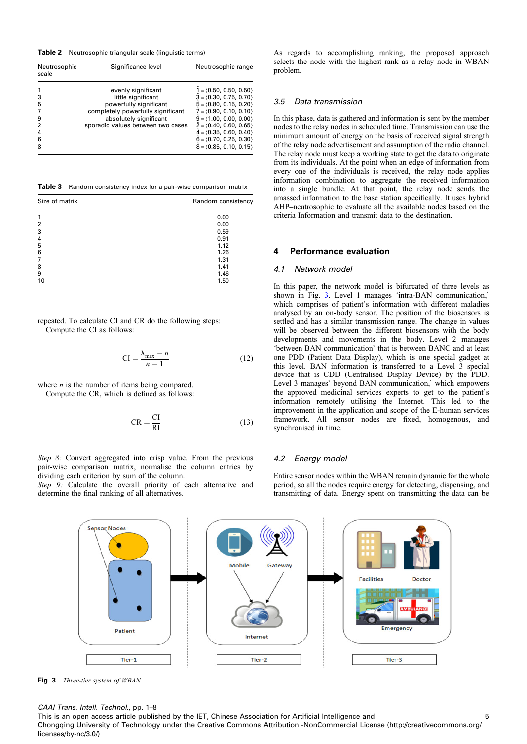<span id="page-4-0"></span>Table 2 Neutrosophic triangular scale (linguistic terms)

| Neutrosophic<br>scale | Significance level                                                                                                                                                     | Neutrosophic range                                                                                                                                                                                                                                                                                                                                                                     |
|-----------------------|------------------------------------------------------------------------------------------------------------------------------------------------------------------------|----------------------------------------------------------------------------------------------------------------------------------------------------------------------------------------------------------------------------------------------------------------------------------------------------------------------------------------------------------------------------------------|
| 5<br>9<br>6           | evenly significant<br>little significant<br>powerfully significant<br>completely powerfully significant<br>absolutely significant<br>sporadic values between two cases | $1 = (0.50, 0.50, 0.50)$<br>$\tilde{3} = \langle 0.30, 0.75, 0.70 \rangle$<br>$\tilde{5} = \langle 0.80, 0.15, 0.20 \rangle$<br>$\hat{7} = \langle 0.90, 0.10, 0.10 \rangle$<br>$\ddot{9} = \langle 1.00, 0.00, 0.00 \rangle$<br>$2 = (0.40, 0.60, 0.65)$<br>$4 = (0.35, 0.60, 0.40)$<br>$\hat{6} = \langle 0.70, 0.25, 0.30 \rangle$<br>$\ddot{8} = \langle 0.85, 0.10, 0.15 \rangle$ |

Table 3 Random consistency index for a pair-wise comparison matrix

| Size of matrix | Random consistency |  |  |
|----------------|--------------------|--|--|
|                | 0.00               |  |  |
| 2              | 0.00               |  |  |
| 3              | 0.59               |  |  |
|                | 0.91               |  |  |
| 5              | 1.12               |  |  |
| 6              | 1.26               |  |  |
|                | 1.31               |  |  |
| 8              | 1.41               |  |  |
| 9              | 1.46               |  |  |
| 10             | 1.50               |  |  |

repeated. To calculate CI and CR do the following steps: Compute the CI as follows:

$$
CI = \frac{\lambda_{\text{max}} - n}{n - 1} \tag{12}
$$

where  $n$  is the number of items being compared.

Compute the CR, which is defined as follows:

$$
CR = \frac{CI}{RI}
$$
 (13)

Step 8: Convert aggregated into crisp value. From the previous pair-wise comparison matrix, normalise the column entries by dividing each criterion by sum of the column.

Step 9: Calculate the overall priority of each alternative and determine the final ranking of all alternatives.

As regards to accomplishing ranking, the proposed approach selects the node with the highest rank as a relay node in WBAN problem.

#### 3.5 Data transmission

In this phase, data is gathered and information is sent by the member nodes to the relay nodes in scheduled time. Transmission can use the minimum amount of energy on the basis of received signal strength of the relay node advertisement and assumption of the radio channel. The relay node must keep a working state to get the data to originate from its individuals. At the point when an edge of information from every one of the individuals is received, the relay node applies information combination to aggregate the received information into a single bundle. At that point, the relay node sends the amassed information to the base station specifically. It uses hybrid AHP–neutrosophic to evaluate all the available nodes based on the criteria Information and transmit data to the destination.

## Performance evaluation

#### 4.1 Network model

In this paper, the network model is bifurcated of three levels as shown in Fig. 3. Level 1 manages 'intra-BAN communication,' which comprises of patient's information with different maladies analysed by an on-body sensor. The position of the biosensors is settled and has a similar transmission range. The change in values will be observed between the different biosensors with the body developments and movements in the body. Level 2 manages 'between BAN communication' that is between BANC and at least one PDD (Patient Data Display), which is one special gadget at this level. BAN information is transferred to a Level 3 special device that is CDD (Centralised Display Device) by the PDD. Level 3 manages' beyond BAN communication,' which empowers the approved medicinal services experts to get to the patient's information remotely utilising the Internet. This led to the improvement in the application and scope of the E-human services framework. All sensor nodes are fixed, homogenous, and synchronised in time.

#### 4.2 Energy model

Entire sensor nodes within the WBAN remain dynamic for the whole period, so all the nodes require energy for detecting, dispensing, and transmitting of data. Energy spent on transmitting the data can be



Fig. 3 Three-tier system of WBAN

CAAI Trans. Intell. Technol., pp. 1–8

This is an open access article published by the IET, Chinese Association for Artificial Intelligence and 5 Chongqing University of Technology under the Creative Commons Attribution -NonCommercial License (http://creativecommons.org/ licenses/by-nc/3.0/)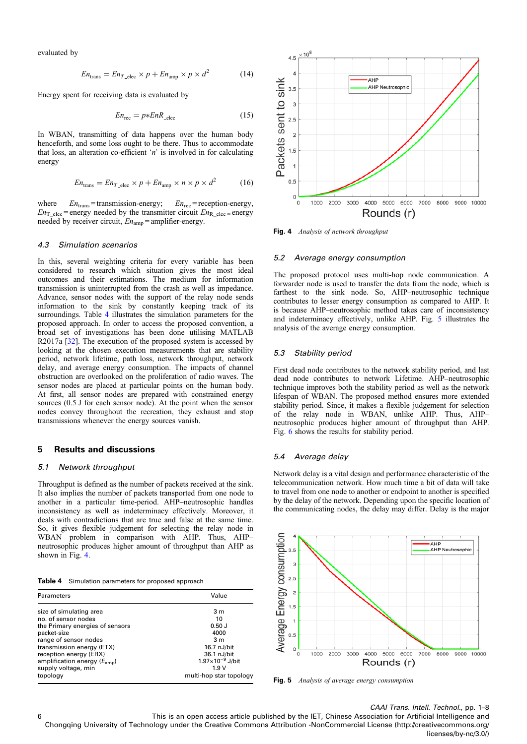evaluated by

$$
Entrans = EnT_elec \times p + Enamp \times p \times d2
$$
 (14)

Energy spent for receiving data is evaluated by

$$
En_{\text{rec}} = p * EnR_{\text{elec}} \tag{15}
$$

In WBAN, transmitting of data happens over the human body henceforth, and some loss ought to be there. Thus to accommodate that loss, an alteration co-efficient ' $n$ ' is involved in for calculating energy

$$
Entrans = EnT_e, elec \times p + Enamp \times n \times p \times d2
$$
 (16)

where  $En<sub>trans</sub> = transmission-energy$ ;  $En<sub>rec</sub> = reception-energy$ ,  $En<sub>T</sub>$  elec = energy needed by the transmitter circuit  $En<sub>R</sub>$  elec = energy needed by receiver circuit,  $En_{amp} =$  amplifier-energy.

## 4.3 Simulation scenarios

In this, several weighting criteria for every variable has been considered to research which situation gives the most ideal outcomes and their estimations. The medium for information transmission is uninterrupted from the crash as well as impedance. Advance, sensor nodes with the support of the relay node sends information to the sink by constantly keeping track of its surroundings. Table 4 illustrates the simulation parameters for the proposed approach. In order to access the proposed convention, a broad set of investigations has been done utilising MATLAB R2017a [\[32](#page-7-0)]. The execution of the proposed system is accessed by looking at the chosen execution measurements that are stability period, network lifetime, path loss, network throughput, network delay, and average energy consumption. The impacts of channel obstruction are overlooked on the proliferation of radio waves. The sensor nodes are placed at particular points on the human body. At first, all sensor nodes are prepared with constrained energy sources (0.5 J for each sensor node). At the point when the sensor nodes convey throughout the recreation, they exhaust and stop transmissions whenever the energy sources vanish.

#### 5 Results and discussions

#### 5.1 Network throughput

Throughput is defined as the number of packets received at the sink. It also implies the number of packets transported from one node to another in a particular time-period. AHP–neutrosophic handles inconsistency as well as indeterminacy effectively. Moreover, it deals with contradictions that are true and false at the same time. So, it gives flexible judgement for selecting the relay node in WBAN problem in comparison with AHP. Thus, AHP– neutrosophic produces higher amount of throughput than AHP as shown in Fig. 4.

Table 4 Simulation parameters for proposed approach

| Parameters                            | Value                     |  |  |
|---------------------------------------|---------------------------|--|--|
| size of simulating area               | 3 <sub>m</sub>            |  |  |
| no. of sensor nodes                   | 10                        |  |  |
| the Primary energies of sensors       | 0.50J                     |  |  |
| packet-size                           | 4000                      |  |  |
| range of sensor nodes                 | 3 <sub>m</sub>            |  |  |
| transmission energy (ETX)             | 16.7 nJ/bit               |  |  |
| reception energy (ERX)                | 36.1 nJ/bit               |  |  |
| amplification energy $(E_{\rm{amp}})$ | $1.97\times10^{-9}$ J/bit |  |  |
| supply voltage, min                   | 1.9V                      |  |  |
| topology                              | multi-hop star topology   |  |  |



Fig. 4 Analysis of network throughput

## 5.2 Average energy consumption

The proposed protocol uses multi-hop node communication. A forwarder node is used to transfer the data from the node, which is farthest to the sink node. So, AHP–neutrosophic technique contributes to lesser energy consumption as compared to AHP. It is because AHP–neutrosophic method takes care of inconsistency and indeterminacy effectively, unlike AHP. Fig. 5 illustrates the analysis of the average energy consumption.

#### 5.3 Stability period

First dead node contributes to the network stability period, and last dead node contributes to network Lifetime. AHP–neutrosophic technique improves both the stability period as well as the network lifespan of WBAN. The proposed method ensures more extended stability period. Since, it makes a flexible judgement for selection of the relay node in WBAN, unlike AHP. Thus, AHP– neutrosophic produces higher amount of throughput than AHP. Fig. [6](#page-6-0) shows the results for stability period.

#### 5.4 Average delay

Network delay is a vital design and performance characteristic of the telecommunication network. How much time a bit of data will take to travel from one node to another or endpoint to another is specified by the delay of the network. Depending upon the specific location of the communicating nodes, the delay may differ. Delay is the major



Fig. 5 Analysis of average energy consumption

CAAI Trans. Intell. Technol., pp. 1–8

This is an open access article published by the IET, Chinese Association for Artificial Intelligence and Chongqing University of Technology under the Creative Commons Attribution -NonCommercial License (http://creativecommons.org/ licenses/by-nc/3.0/)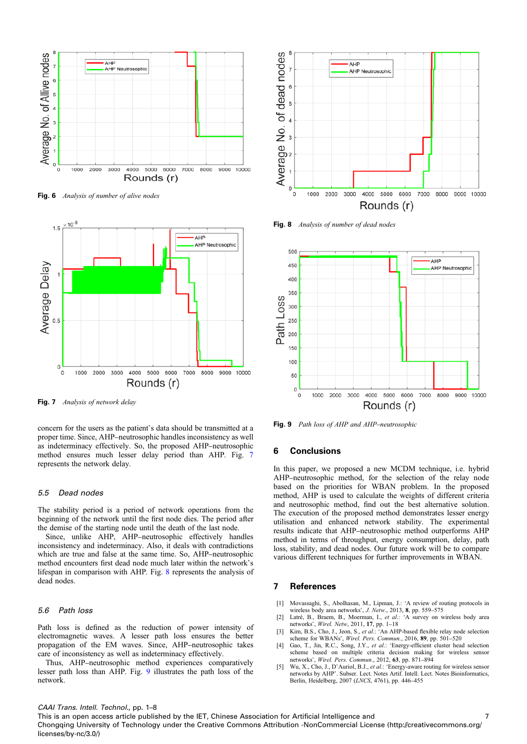<span id="page-6-0"></span>

Fig. 6 Analysis of number of alive nodes



Fig. 7 Analysis of network delay

concern for the users as the patient's data should be transmitted at a proper time. Since, AHP–neutrosophic handles inconsistency as well as indeterminacy effectively. So, the proposed AHP–neutrosophic method ensures much lesser delay period than AHP. Fig. 7 represents the network delay.

## 5.5 Dead nodes

The stability period is a period of network operations from the beginning of the network until the first node dies. The period after the demise of the starting node until the death of the last node.

Since, unlike AHP, AHP–neutrosophic effectively handles inconsistency and indeterminacy. Also, it deals with contradictions which are true and false at the same time. So, AHP–neutrosophic method encounters first dead node much later within the network's lifespan in comparison with AHP. Fig. 8 represents the analysis of dead nodes.

## 5.6 Path loss

Path loss is defined as the reduction of power intensity of electromagnetic waves. A lesser path loss ensures the better propagation of the EM waves. Since, AHP–neutrosophic takes care of inconsistency as well as indeterminacy effectively.

Thus, AHP–neutrosophic method experiences comparatively lesser path loss than AHP. Fig. 9 illustrates the path loss of the network.



Fig. 8 Analysis of number of dead nodes



Fig. 9 Path loss of AHP and AHP–neutrosophic

#### 6 Conclusions

In this paper, we proposed a new MCDM technique, i.e. hybrid AHP–neutrosophic method, for the selection of the relay node based on the priorities for WBAN problem. In the proposed method, AHP is used to calculate the weights of different criteria and neutrosophic method, find out the best alternative solution. The execution of the proposed method demonstrates lesser energy utilisation and enhanced network stability. The experimental results indicate that AHP–neutrosophic method outperforms AHP method in terms of throughput, energy consumption, delay, path loss, stability, and dead nodes. Our future work will be to compare various different techniques for further improvements in WBAN.

## 7 References

- [1] Movassaghi, S., Abolhasan, M., Lipman, J.: 'A review of routing protocols in wireless body area networks', J. Netw., 2013, 8, pp. 559–575
- [2] Latré, B., Braem, B., Moerman, I., et al.: 'A survey on wireless body area
- networks', Wirel. Netw, 2011, 17, pp. 1–18 [3] Kim, B.S., Cho, J., Jeon, S., et al.: 'An AHP-based flexible relay node selection scheme for WBANs', Wirel. Pers. Commun., 2016, 89, pp. 501–520
- [4] Gao, T., Jin, R.C., Song, J.Y., et al.: 'Energy-efficient cluster head selection scheme based on multiple criteria decision making for wireless sensor networks', Wirel. Pers. Commun., 2012, 63, pp. 871–894
- [5] Wu, X., Cho, J., D'Auriol, B.J., et al.: 'Energy-aware routing for wireless sensor networks by AHP'. Subser. Lect. Notes Artif. Intell. Lect. Notes Bioinformatics, Berlin, Heidelberg, 2007 (LNCS, 4761), pp. 446–455

This is an open access article published by the IET, Chinese Association for Artificial Intelligence and 7 Chongqing University of Technology under the Creative Commons Attribution -NonCommercial License (http://creativecommons.org/ licenses/by-nc/3.0/)